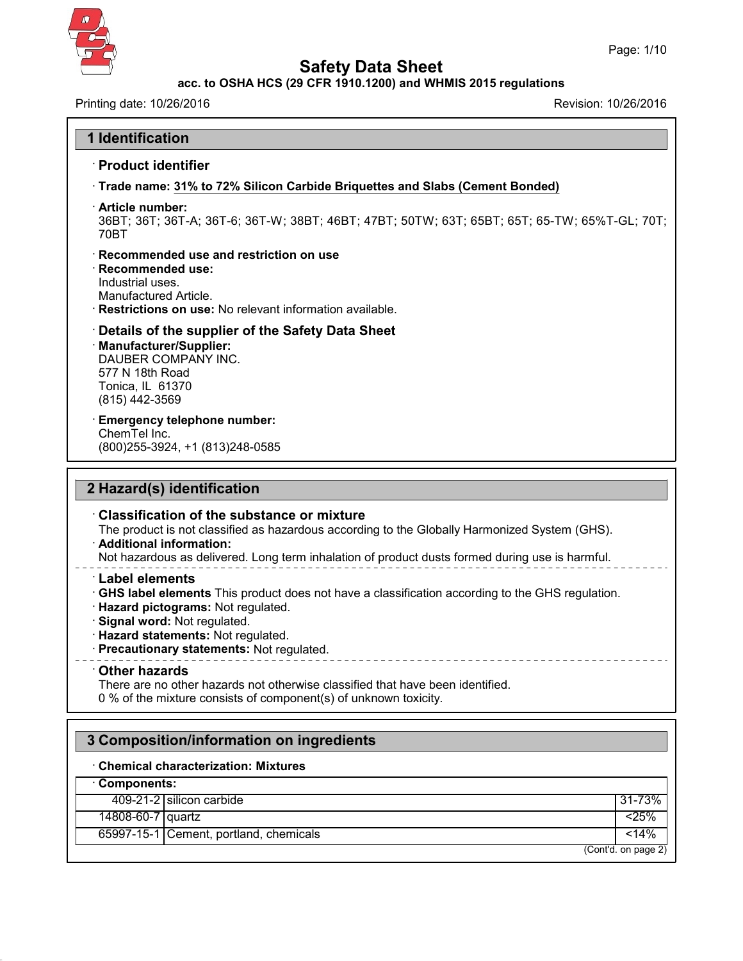

 $\Gamma$ 

43.0

# **Safety Data Sheet**

## **acc. to OSHA HCS (29 CFR 1910.1200) and WHMIS 2015 regulations**

Printing date: 10/26/2016 **Revision: 10/26/2016** 

| <b>1 Identification</b>                                                                                                                                                                                                                                                                                                                                                                                                                                                                                                                                                                                                                                                                                                                                  |            |
|----------------------------------------------------------------------------------------------------------------------------------------------------------------------------------------------------------------------------------------------------------------------------------------------------------------------------------------------------------------------------------------------------------------------------------------------------------------------------------------------------------------------------------------------------------------------------------------------------------------------------------------------------------------------------------------------------------------------------------------------------------|------------|
| · Product identifier                                                                                                                                                                                                                                                                                                                                                                                                                                                                                                                                                                                                                                                                                                                                     |            |
| Trade name: 31% to 72% Silicon Carbide Briquettes and Slabs (Cement Bonded)                                                                                                                                                                                                                                                                                                                                                                                                                                                                                                                                                                                                                                                                              |            |
| · Article number:<br>36BT; 36T; 36T-A; 36T-6; 36T-W; 38BT; 46BT; 47BT; 50TW; 63T; 65BT; 65T; 65-TW; 65%T-GL; 70T;<br>70BT                                                                                                                                                                                                                                                                                                                                                                                                                                                                                                                                                                                                                                |            |
| Recommended use and restriction on use<br><b>Recommended use:</b><br>Industrial uses.<br>Manufactured Article.<br><b>Restrictions on use:</b> No relevant information available.                                                                                                                                                                                                                                                                                                                                                                                                                                                                                                                                                                         |            |
| Details of the supplier of the Safety Data Sheet<br>Manufacturer/Supplier:<br>DAUBER COMPANY INC.<br>577 N 18th Road<br>Tonica, IL 61370<br>(815) 442-3569                                                                                                                                                                                                                                                                                                                                                                                                                                                                                                                                                                                               |            |
| <b>Emergency telephone number:</b><br>ChemTel Inc.<br>(800) 255-3924, +1 (813) 248-0585                                                                                                                                                                                                                                                                                                                                                                                                                                                                                                                                                                                                                                                                  |            |
|                                                                                                                                                                                                                                                                                                                                                                                                                                                                                                                                                                                                                                                                                                                                                          |            |
| 2 Hazard(s) identification<br>$\cdot$ Classification of the substance or mixture<br>The product is not classified as hazardous according to the Globally Harmonized System (GHS).<br>· Additional information:<br>Not hazardous as delivered. Long term inhalation of product dusts formed during use is harmful.<br><b>Label elements</b><br>GHS label elements This product does not have a classification according to the GHS regulation.<br>· Hazard pictograms: Not regulated.<br>· Signal word: Not regulated.<br>· Hazard statements: Not regulated.<br>· Precautionary statements: Not regulated.<br>_______________________________<br>$\cdot$ Other hazards<br>There are no other hazards not otherwise classified that have been identified. |            |
| 0 % of the mixture consists of component(s) of unknown toxicity.<br>3 Composition/information on ingredients                                                                                                                                                                                                                                                                                                                                                                                                                                                                                                                                                                                                                                             |            |
| <b>Chemical characterization: Mixtures</b>                                                                                                                                                                                                                                                                                                                                                                                                                                                                                                                                                                                                                                                                                                               |            |
| · Components:                                                                                                                                                                                                                                                                                                                                                                                                                                                                                                                                                                                                                                                                                                                                            |            |
| 409-21-2 silicon carbide                                                                                                                                                                                                                                                                                                                                                                                                                                                                                                                                                                                                                                                                                                                                 | 31-73%     |
| 14808-60-7 quartz<br>65997-15-1 Cement, portland, chemicals                                                                                                                                                                                                                                                                                                                                                                                                                                                                                                                                                                                                                                                                                              | 25%<br>14% |

٦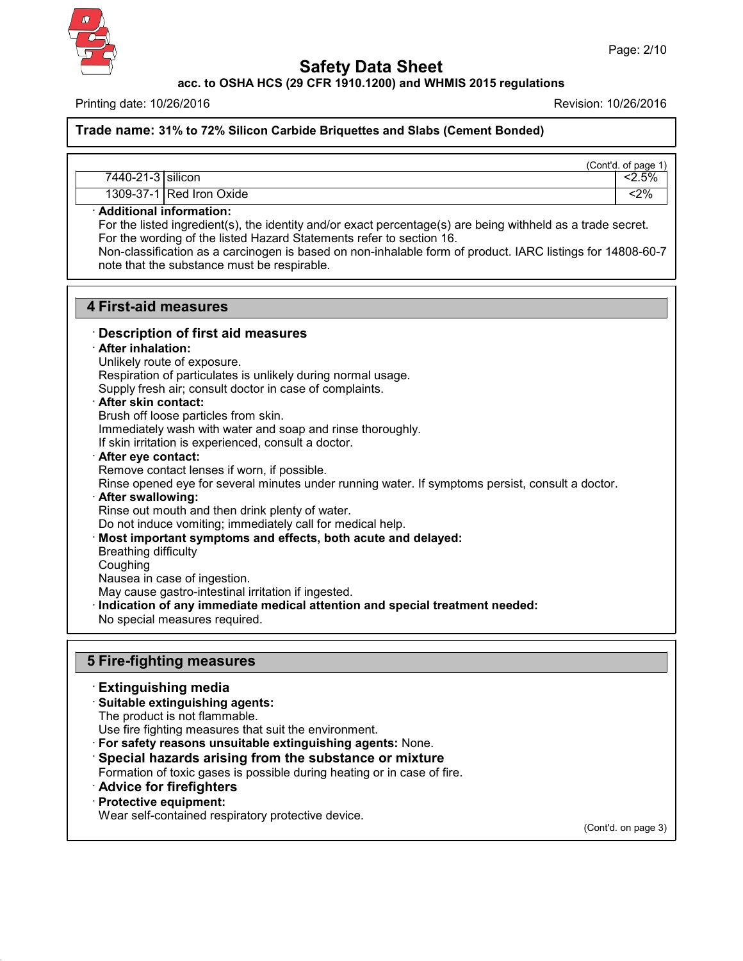

**acc. to OSHA HCS (29 CFR 1910.1200) and WHMIS 2015 regulations**

Printing date: 10/26/2016 Revision: 10/26/2016

**Trade name: 31% to 72% Silicon Carbide Briquettes and Slabs (Cement Bonded)**

|                   |                           | (Cont'd. of page 1) |
|-------------------|---------------------------|---------------------|
| 7440-21-3 silicon |                           | 2.5%                |
|                   | 1309-37-1 Red Iron Oxide  | <2%                 |
|                   | . Additional information: |                     |

#### · **Additional information:**

For the listed ingredient(s), the identity and/or exact percentage(s) are being withheld as a trade secret. For the wording of the listed Hazard Statements refer to section 16.

Non-classification as a carcinogen is based on non-inhalable form of product. IARC listings for 14808-60-7 note that the substance must be respirable.

## **4 First-aid measures**

## · **Description of first aid measures**

#### · **After inhalation:**

Unlikely route of exposure.

Respiration of particulates is unlikely during normal usage.

Supply fresh air; consult doctor in case of complaints.

#### · **After skin contact:**

Brush off loose particles from skin. Immediately wash with water and soap and rinse thoroughly. If skin irritation is experienced, consult a doctor.

#### · **After eye contact:**

Remove contact lenses if worn, if possible.

Rinse opened eye for several minutes under running water. If symptoms persist, consult a doctor.

#### · **After swallowing:**

Rinse out mouth and then drink plenty of water.

Do not induce vomiting; immediately call for medical help.

· **Most important symptoms and effects, both acute and delayed:**

- Breathing difficulty
- Coughing

Nausea in case of ingestion.

May cause gastro-intestinal irritation if ingested.

· **Indication of any immediate medical attention and special treatment needed:**

No special measures required.

## **5 Fire-fighting measures**

#### · **Extinguishing media**

## · **Suitable extinguishing agents:**

The product is not flammable.

Use fire fighting measures that suit the environment.

- · **For safety reasons unsuitable extinguishing agents:** None.
- · **Special hazards arising from the substance or mixture**
- Formation of toxic gases is possible during heating or in case of fire.
- · **Advice for firefighters**

## · **Protective equipment:**

43.0

Wear self-contained respiratory protective device.

(Cont'd. on page 3)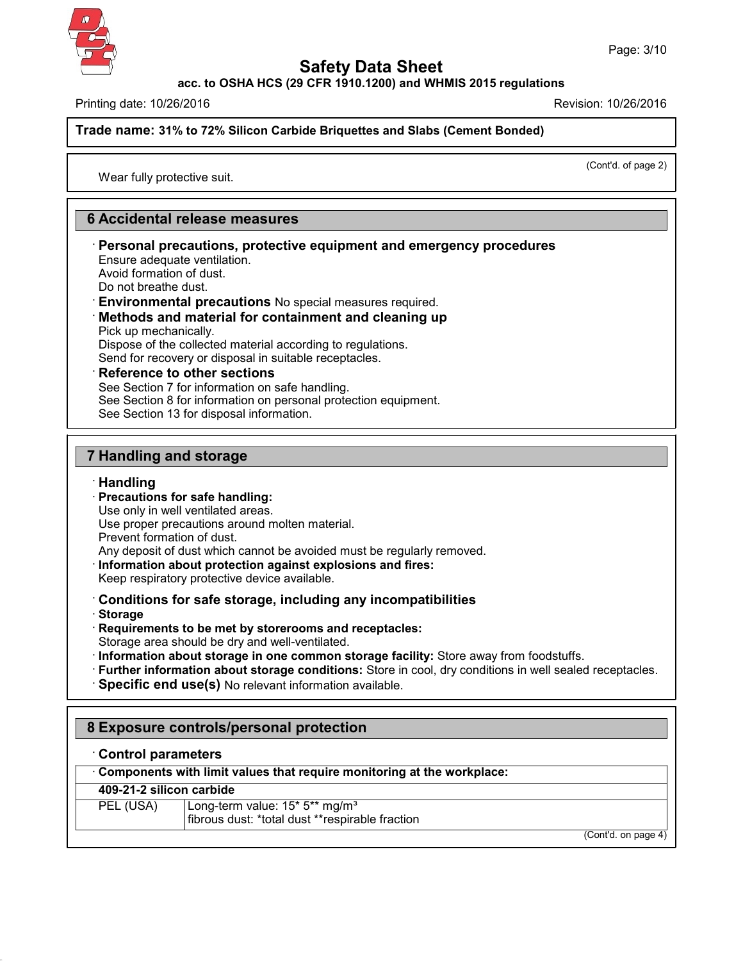**acc. to OSHA HCS (29 CFR 1910.1200) and WHMIS 2015 regulations**

Printing date: 10/26/2016 Revision: 10/26/2016

**Trade name: 31% to 72% Silicon Carbide Briquettes and Slabs (Cement Bonded)**

(Cont'd. of page 2)

Wear fully protective suit.

# **6 Accidental release measures**

· **Personal precautions, protective equipment and emergency procedures** Ensure adequate ventilation.

Avoid formation of dust.

Do not breathe dust.

· **Environmental precautions** No special measures required.

#### · **Methods and material for containment and cleaning up** Pick up mechanically.

Dispose of the collected material according to regulations. Send for recovery or disposal in suitable receptacles.

· **Reference to other sections**

See Section 7 for information on safe handling.

See Section 8 for information on personal protection equipment.

See Section 13 for disposal information.

# **7 Handling and storage**

## · **Handling**

· **Precautions for safe handling:**

Use only in well ventilated areas.

Use proper precautions around molten material.

Prevent formation of dust.

Any deposit of dust which cannot be avoided must be regularly removed.

- · **Information about protection against explosions and fires:**
- Keep respiratory protective device available.

· **Conditions for safe storage, including any incompatibilities**

· **Storage**

43.0

- · **Requirements to be met by storerooms and receptacles:**
- Storage area should be dry and well-ventilated.
- · **Information about storage in one common storage facility:** Store away from foodstuffs.
- · **Further information about storage conditions:** Store in cool, dry conditions in well sealed receptacles.
- · **Specific end use(s)** No relevant information available.

# **8 Exposure controls/personal protection**

## · **Control parameters**

# **409-21-2 silicon carbide**

| PEL (USA) | Long-term value: 15* 5** mg/m <sup>3</sup><br>fibrous dust: *total dust **respirable fraction |
|-----------|-----------------------------------------------------------------------------------------------|
|           | (Cont'd. on page 4)                                                                           |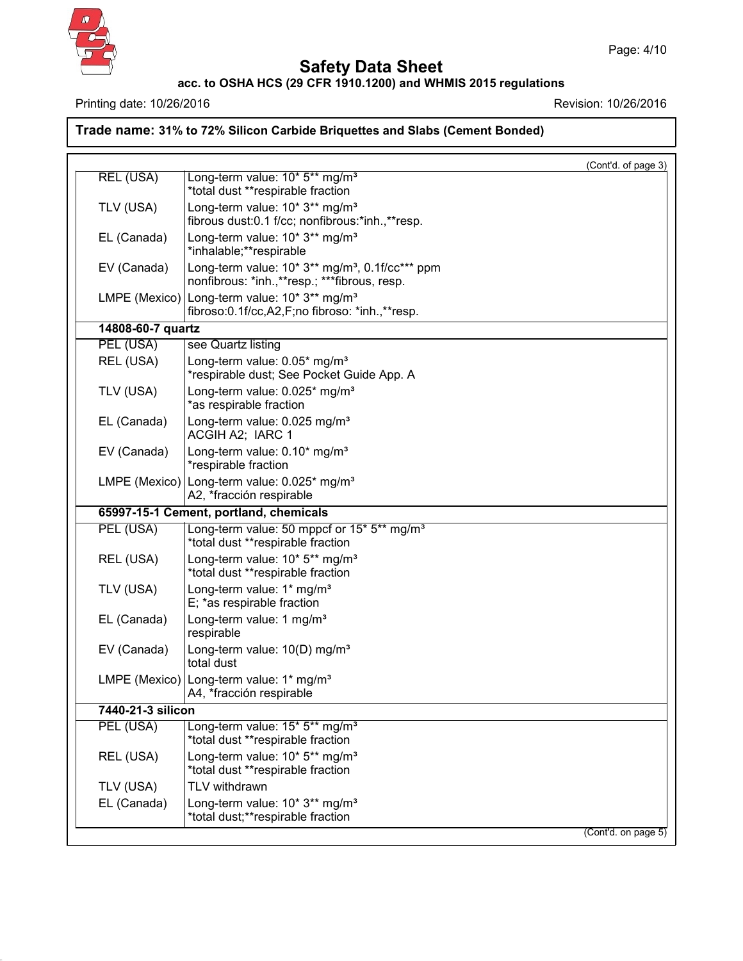

43.0

# **Safety Data Sheet**

#### **acc. to OSHA HCS (29 CFR 1910.1200) and WHMIS 2015 regulations**

Page: 4/10

Printing date: 10/26/2016 **Revision: 10/26/2016** 

**Trade name: 31% to 72% Silicon Carbide Briquettes and Slabs (Cement Bonded)**

|                   |                                                                                                                  | (Cont'd. of page 3) |
|-------------------|------------------------------------------------------------------------------------------------------------------|---------------------|
| REL (USA)         | Long-term value: 10* 5** mg/m <sup>3</sup><br>*total dust **respirable fraction                                  |                     |
| TLV (USA)         | Long-term value: 10* 3** mg/m <sup>3</sup><br>fibrous dust:0.1 f/cc; nonfibrous:*inh.,**resp.                    |                     |
| EL (Canada)       | Long-term value: 10* 3** mg/m <sup>3</sup><br>*inhalable;**respirable                                            |                     |
| EV (Canada)       | Long-term value: 10* 3** mg/m <sup>3</sup> , 0.1f/cc*** ppm<br>nonfibrous: *inh.,**resp.; ***fibrous, resp.      |                     |
|                   | LMPE (Mexico) Long-term value: 10* 3** mg/m <sup>3</sup><br>fibroso: 0.1f/cc, A2, F; no fibroso: *inh., ** resp. |                     |
| 14808-60-7 quartz |                                                                                                                  |                     |
| PEL (USA)         | see Quartz listing                                                                                               |                     |
| REL (USA)         | Long-term value: 0.05* mg/m <sup>3</sup><br>*respirable dust; See Pocket Guide App. A                            |                     |
| TLV (USA)         | Long-term value: 0.025* mg/m <sup>3</sup><br>*as respirable fraction                                             |                     |
| EL (Canada)       | Long-term value: 0.025 mg/m <sup>3</sup><br>ACGIH A2; IARC 1                                                     |                     |
| EV (Canada)       | Long-term value: 0.10* mg/m <sup>3</sup><br>*respirable fraction                                                 |                     |
|                   | LMPE (Mexico) Long-term value: 0.025* mg/m <sup>3</sup><br>A2, *fracción respirable                              |                     |
|                   | 65997-15-1 Cement, portland, chemicals                                                                           |                     |
| PEL (USA)         | Long-term value: 50 mppcf or 15* 5** mg/m <sup>3</sup><br>*total dust **respirable fraction                      |                     |
| REL (USA)         | Long-term value: 10* 5** mg/m <sup>3</sup><br>*total dust **respirable fraction                                  |                     |
| TLV (USA)         | Long-term value: 1* mg/m <sup>3</sup><br>E; *as respirable fraction                                              |                     |
| EL (Canada)       | Long-term value: 1 mg/m <sup>3</sup><br>respirable                                                               |                     |
| EV (Canada)       | Long-term value: $10(D)$ mg/m <sup>3</sup><br>total dust                                                         |                     |
|                   | LMPE (Mexico) Long-term value: 1* mg/m <sup>3</sup><br>A4, *fracción respirable                                  |                     |
| 7440-21-3 silicon |                                                                                                                  |                     |
| PEL (USA)         | Long-term value: 15* 5** mg/m <sup>3</sup><br>*total dust **respirable fraction                                  |                     |
| REL (USA)         | Long-term value: 10* 5** mg/m <sup>3</sup><br>*total dust **respirable fraction                                  |                     |
| TLV (USA)         | TLV withdrawn                                                                                                    |                     |
| EL (Canada)       | Long-term value: 10* 3** mg/m <sup>3</sup><br>*total dust;**respirable fraction                                  |                     |
|                   |                                                                                                                  | (Cont'd. on page 5) |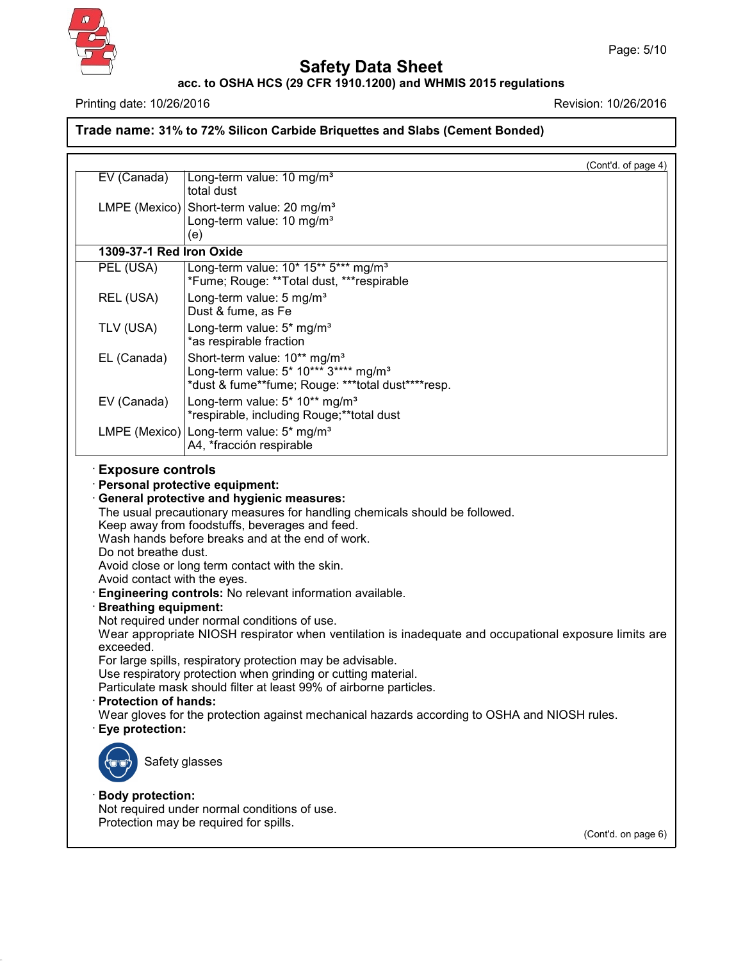

43.0

# **Safety Data Sheet**

## **acc. to OSHA HCS (29 CFR 1910.1200) and WHMIS 2015 regulations**

Printing date: 10/26/2016 **Revision: 10/26/2016** 

**Trade name: 31% to 72% Silicon Carbide Briquettes and Slabs (Cement Bonded)**

|                                                                                                                                 | (Cont'd. of page 4)                                                                                                                                                                                                                                                                                                                                                                                                                                                                                                                                                                                                                                                             |
|---------------------------------------------------------------------------------------------------------------------------------|---------------------------------------------------------------------------------------------------------------------------------------------------------------------------------------------------------------------------------------------------------------------------------------------------------------------------------------------------------------------------------------------------------------------------------------------------------------------------------------------------------------------------------------------------------------------------------------------------------------------------------------------------------------------------------|
| EV (Canada)                                                                                                                     | Long-term value: 10 mg/m <sup>3</sup><br>total dust                                                                                                                                                                                                                                                                                                                                                                                                                                                                                                                                                                                                                             |
|                                                                                                                                 | LMPE (Mexico) Short-term value: 20 mg/m <sup>3</sup><br>Long-term value: 10 mg/m <sup>3</sup><br>(e)                                                                                                                                                                                                                                                                                                                                                                                                                                                                                                                                                                            |
| 1309-37-1 Red Iron Oxide                                                                                                        |                                                                                                                                                                                                                                                                                                                                                                                                                                                                                                                                                                                                                                                                                 |
| PEL (USA)                                                                                                                       | Long-term value: 10* 15** 5*** mg/m <sup>3</sup><br>*Fume; Rouge: **Total dust, ***respirable                                                                                                                                                                                                                                                                                                                                                                                                                                                                                                                                                                                   |
| REL (USA)                                                                                                                       | Long-term value: 5 mg/m <sup>3</sup><br>Dust & fume, as Fe                                                                                                                                                                                                                                                                                                                                                                                                                                                                                                                                                                                                                      |
| TLV (USA)                                                                                                                       | Long-term value: 5* mg/m <sup>3</sup><br>*as respirable fraction                                                                                                                                                                                                                                                                                                                                                                                                                                                                                                                                                                                                                |
| EL (Canada)                                                                                                                     | Short-term value: 10** mg/m <sup>3</sup><br>Long-term value: 5* 10*** 3**** mg/m <sup>3</sup><br>*dust & fume**fume; Rouge: ***total dust****resp.                                                                                                                                                                                                                                                                                                                                                                                                                                                                                                                              |
| EV (Canada)                                                                                                                     | Long-term value: 5* 10** mg/m <sup>3</sup><br>*respirable, including Rouge;**total dust                                                                                                                                                                                                                                                                                                                                                                                                                                                                                                                                                                                         |
|                                                                                                                                 | LMPE (Mexico)   Long-term value: 5* mg/m <sup>3</sup><br>A4, *fracción respirable                                                                                                                                                                                                                                                                                                                                                                                                                                                                                                                                                                                               |
| Do not breathe dust.<br>Avoid contact with the eyes.<br><b>Breathing equipment:</b><br>exceeded.<br><b>Protection of hands:</b> | Keep away from foodstuffs, beverages and feed.<br>Wash hands before breaks and at the end of work.<br>Avoid close or long term contact with the skin.<br>Engineering controls: No relevant information available.<br>Not required under normal conditions of use.<br>Wear appropriate NIOSH respirator when ventilation is inadequate and occupational exposure limits are<br>For large spills, respiratory protection may be advisable.<br>Use respiratory protection when grinding or cutting material.<br>Particulate mask should filter at least 99% of airborne particles.<br>Wear gloves for the protection against mechanical hazards according to OSHA and NIOSH rules. |
| · Eye protection:<br>Safety glasses                                                                                             |                                                                                                                                                                                                                                                                                                                                                                                                                                                                                                                                                                                                                                                                                 |
|                                                                                                                                 |                                                                                                                                                                                                                                                                                                                                                                                                                                                                                                                                                                                                                                                                                 |
| <b>Body protection:</b>                                                                                                         | Not required under normal conditions of use.<br>Protection may be required for spills.                                                                                                                                                                                                                                                                                                                                                                                                                                                                                                                                                                                          |

(Cont'd. on page 6)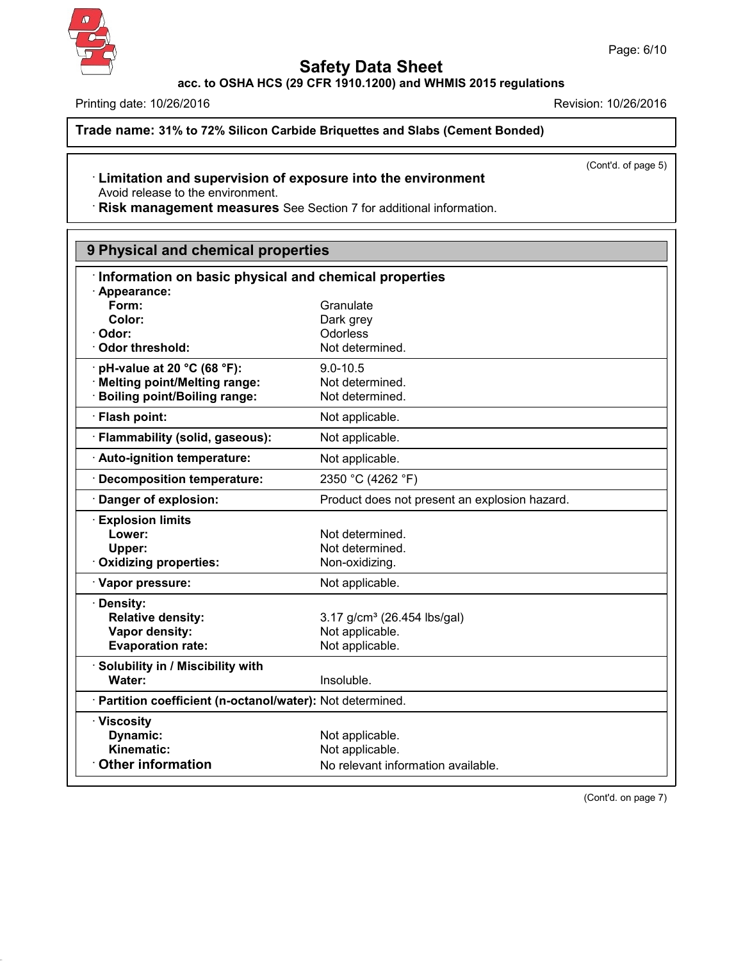

43.0

# **Safety Data Sheet**

**acc. to OSHA HCS (29 CFR 1910.1200) and WHMIS 2015 regulations**

Printing date: 10/26/2016 **Revision: 10/26/2016** 

**Trade name: 31% to 72% Silicon Carbide Briquettes and Slabs (Cement Bonded)**

(Cont'd. of page 5)

#### · **Limitation and supervision of exposure into the environment** Avoid release to the environment.

· **Risk management measures** See Section 7 for additional information.

| 9 Physical and chemical properties                         |                                               |  |
|------------------------------------------------------------|-----------------------------------------------|--|
| Information on basic physical and chemical properties      |                                               |  |
| Appearance:                                                |                                               |  |
| Form:                                                      | Granulate                                     |  |
| Color:                                                     | Dark grey                                     |  |
| Odor:                                                      | Odorless                                      |  |
| Odor threshold:                                            | Not determined.                               |  |
| pH-value at 20 °C (68 °F):                                 | $9.0 - 10.5$                                  |  |
| <b>Melting point/Melting range:</b>                        | Not determined.                               |  |
| <b>Boiling point/Boiling range:</b>                        | Not determined.                               |  |
| · Flash point:                                             | Not applicable.                               |  |
| · Flammability (solid, gaseous):                           | Not applicable.                               |  |
| Auto-ignition temperature:                                 | Not applicable.                               |  |
| · Decomposition temperature:                               | 2350 °C (4262 °F)                             |  |
| Danger of explosion:                                       | Product does not present an explosion hazard. |  |
| <b>Explosion limits</b>                                    |                                               |  |
| Lower:                                                     | Not determined.                               |  |
| Upper:                                                     | Not determined.                               |  |
| Oxidizing properties:                                      | Non-oxidizing.                                |  |
| · Vapor pressure:                                          | Not applicable.                               |  |
| · Density:                                                 |                                               |  |
| <b>Relative density:</b>                                   | 3.17 g/cm <sup>3</sup> (26.454 lbs/gal)       |  |
| Vapor density:                                             | Not applicable.                               |  |
| <b>Evaporation rate:</b>                                   | Not applicable.                               |  |
| · Solubility in / Miscibility with                         |                                               |  |
| Water:                                                     | Insoluble.                                    |  |
| · Partition coefficient (n-octanol/water): Not determined. |                                               |  |
| · Viscosity                                                |                                               |  |
| Dynamic:                                                   | Not applicable.                               |  |
| Kinematic:                                                 | Not applicable.                               |  |
| <b>Other information</b>                                   | No relevant information available.            |  |

(Cont'd. on page 7)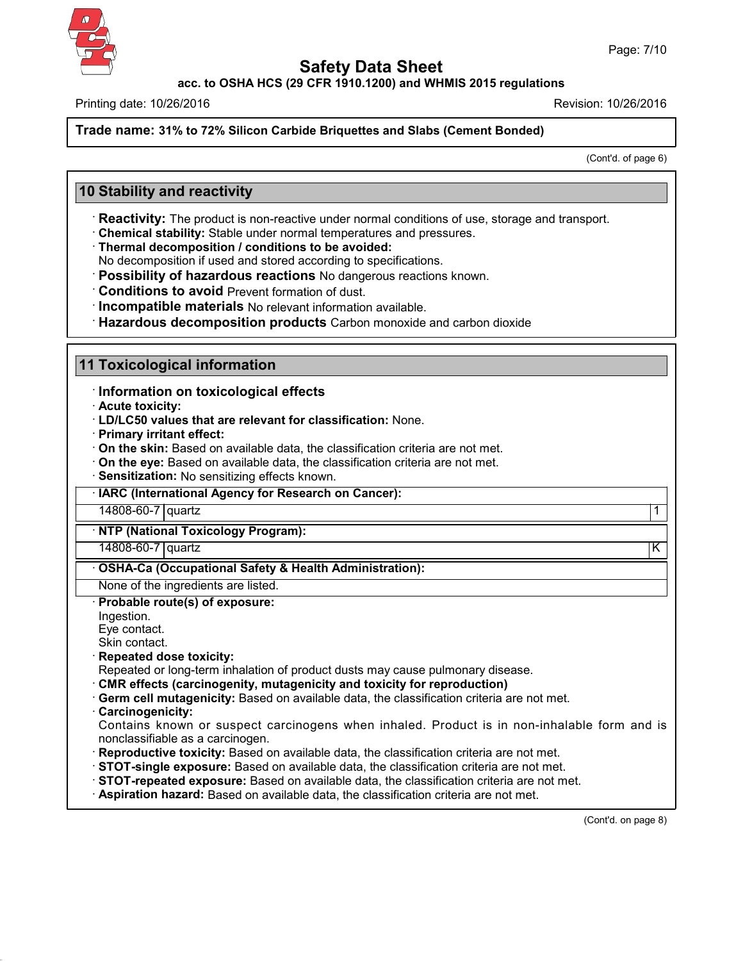**acc. to OSHA HCS (29 CFR 1910.1200) and WHMIS 2015 regulations**

Printing date: 10/26/2016 Revision: 10/26/2016

**Trade name: 31% to 72% Silicon Carbide Briquettes and Slabs (Cement Bonded)**

(Cont'd. of page 6)

# **10 Stability and reactivity**

· **Reactivity:** The product is non-reactive under normal conditions of use, storage and transport.

· **Chemical stability:** Stable under normal temperatures and pressures.

· **Thermal decomposition / conditions to be avoided:**

No decomposition if used and stored according to specifications.

· **Possibility of hazardous reactions** No dangerous reactions known.

· **Conditions to avoid** Prevent formation of dust.

· **Incompatible materials** No relevant information available.

· **Hazardous decomposition products** Carbon monoxide and carbon dioxide

## **11 Toxicological information**

· **Information on toxicological effects**

· **Acute toxicity:**

· **LD/LC50 values that are relevant for classification:** None.

· **Primary irritant effect:**

· **On the skin:** Based on available data, the classification criteria are not met.

· **On the eye:** Based on available data, the classification criteria are not met.

· **Sensitization:** No sensitizing effects known.

· **IARC (International Agency for Research on Cancer):**

14808-60-7 quartz 1

· **NTP (National Toxicology Program):**

14808-60-7 quartz K

· **OSHA-Ca (Occupational Safety & Health Administration):**

None of the ingredients are listed.

#### · **Probable route(s) of exposure:**

Ingestion.

Eye contact.

Skin contact.

· **Repeated dose toxicity:**

Repeated or long-term inhalation of product dusts may cause pulmonary disease.

- · **CMR effects (carcinogenity, mutagenicity and toxicity for reproduction)**
- · **Germ cell mutagenicity:** Based on available data, the classification criteria are not met.

· **Carcinogenicity:**

43.0

Contains known or suspect carcinogens when inhaled. Product is in non-inhalable form and is nonclassifiable as a carcinogen.

- · **Reproductive toxicity:** Based on available data, the classification criteria are not met.
- · **STOT-single exposure:** Based on available data, the classification criteria are not met.
- · **STOT-repeated exposure:** Based on available data, the classification criteria are not met.
- · **Aspiration hazard:** Based on available data, the classification criteria are not met.

(Cont'd. on page 8)

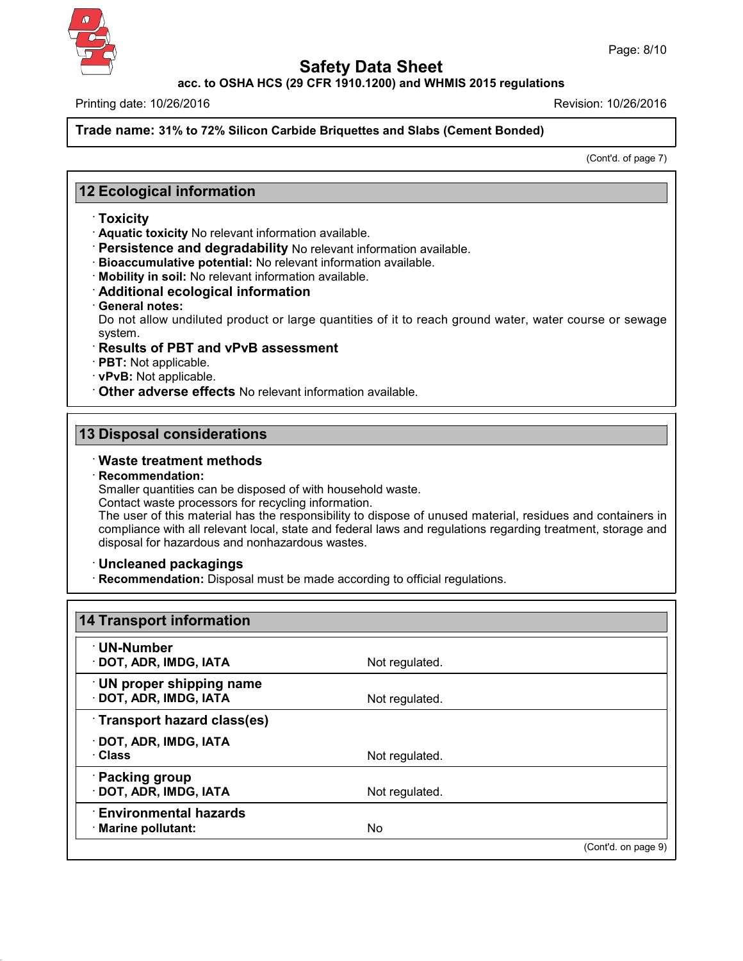**acc. to OSHA HCS (29 CFR 1910.1200) and WHMIS 2015 regulations**

Printing date: 10/26/2016 Revision: 10/26/2016

**Trade name: 31% to 72% Silicon Carbide Briquettes and Slabs (Cement Bonded)**

(Cont'd. of page 7)

# **12 Ecological information**

- · **Toxicity**
- · **Aquatic toxicity** No relevant information available.
- · **Persistence and degradability** No relevant information available.
- · **Bioaccumulative potential:** No relevant information available.
- · **Mobility in soil:** No relevant information available.
- · **Additional ecological information**
- · **General notes:**

Do not allow undiluted product or large quantities of it to reach ground water, water course or sewage system.

- · **Results of PBT and vPvB assessment**
- · **PBT:** Not applicable.
- · **vPvB:** Not applicable.

· **Other adverse effects** No relevant information available.

## **13 Disposal considerations**

## · **Waste treatment methods**

#### · **Recommendation:**

Smaller quantities can be disposed of with household waste.

Contact waste processors for recycling information.

The user of this material has the responsibility to dispose of unused material, residues and containers in compliance with all relevant local, state and federal laws and regulations regarding treatment, storage and disposal for hazardous and nonhazardous wastes.

· **Uncleaned packagings**

43.0

· **Recommendation:** Disposal must be made according to official regulations.

| · UN-Number                     |                |  |
|---------------------------------|----------------|--|
| · DOT, ADR, IMDG, IATA          | Not regulated. |  |
| $\cdot$ UN proper shipping name |                |  |
| · DOT, ADR, IMDG, IATA          | Not regulated. |  |
| Transport hazard class(es)      |                |  |
| · DOT, ADR, IMDG, IATA          |                |  |
| · Class                         | Not regulated. |  |
| · Packing group                 |                |  |
| · DOT, ADR, IMDG, IATA          | Not regulated. |  |
| <b>Environmental hazards</b>    |                |  |
| · Marine pollutant:             | No             |  |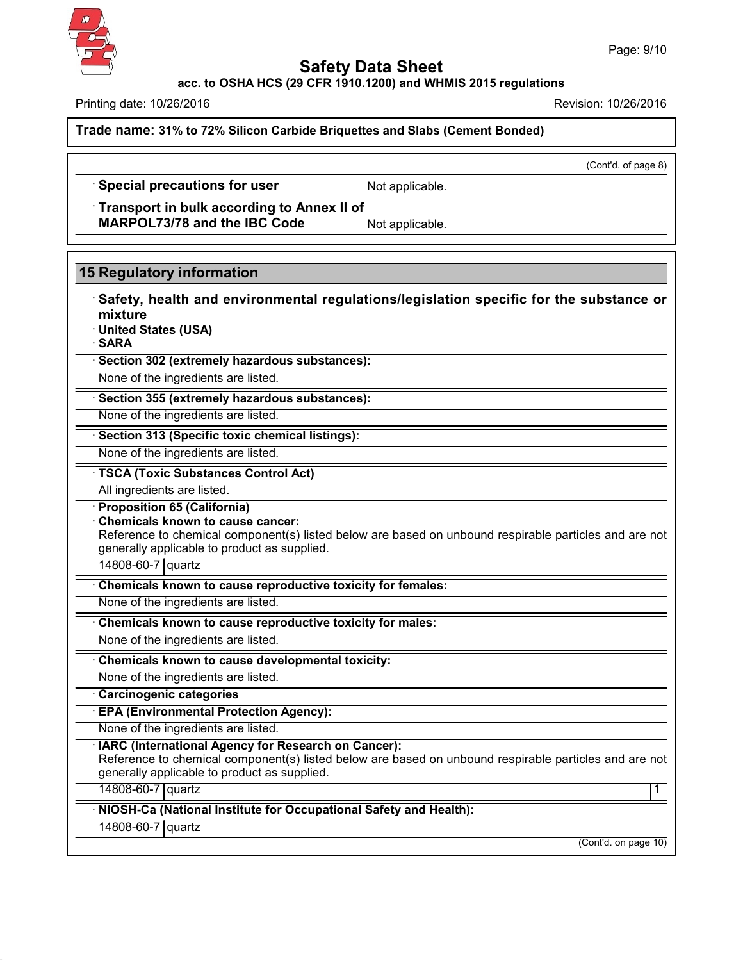

**acc. to OSHA HCS (29 CFR 1910.1200) and WHMIS 2015 regulations**

Printing date: 10/26/2016 Revision: 10/26/2016

**Trade name: 31% to 72% Silicon Carbide Briquettes and Slabs (Cement Bonded)**

(Cont'd. of page 8)

· **Special precautions for user** Not applicable.

· **Transport in bulk according to Annex II of MARPOL73/78** and the IBC Code Not applicable.

# **15 Regulatory information**

· **Safety, health and environmental regulations/legislation specific for the substance or mixture**

· **United States (USA)**

· **SARA**

· **Section 302 (extremely hazardous substances):**

None of the ingredients are listed.

· **Section 355 (extremely hazardous substances):**

None of the ingredients are listed.

· **Section 313 (Specific toxic chemical listings):**

None of the ingredients are listed.

· **TSCA (Toxic Substances Control Act)**

All ingredients are listed.

· **Proposition 65 (California)**

· **Chemicals known to cause cancer:**

Reference to chemical component(s) listed below are based on unbound respirable particles and are not generally applicable to product as supplied.

14808-60-7 quartz

· **Chemicals known to cause reproductive toxicity for females:**

None of the ingredients are listed.

· **Chemicals known to cause reproductive toxicity for males:**

None of the ingredients are listed.

· **Chemicals known to cause developmental toxicity:**

None of the ingredients are listed.

· **Carcinogenic categories**

· **EPA (Environmental Protection Agency):**

None of the ingredients are listed.

· **IARC (International Agency for Research on Cancer):**

Reference to chemical component(s) listed below are based on unbound respirable particles and are not generally applicable to product as supplied.

14808-60-7 quartz 1

· **NIOSH-Ca (National Institute for Occupational Safety and Health):**

14808-60-7 quartz

43.0

(Cont'd. on page 10)